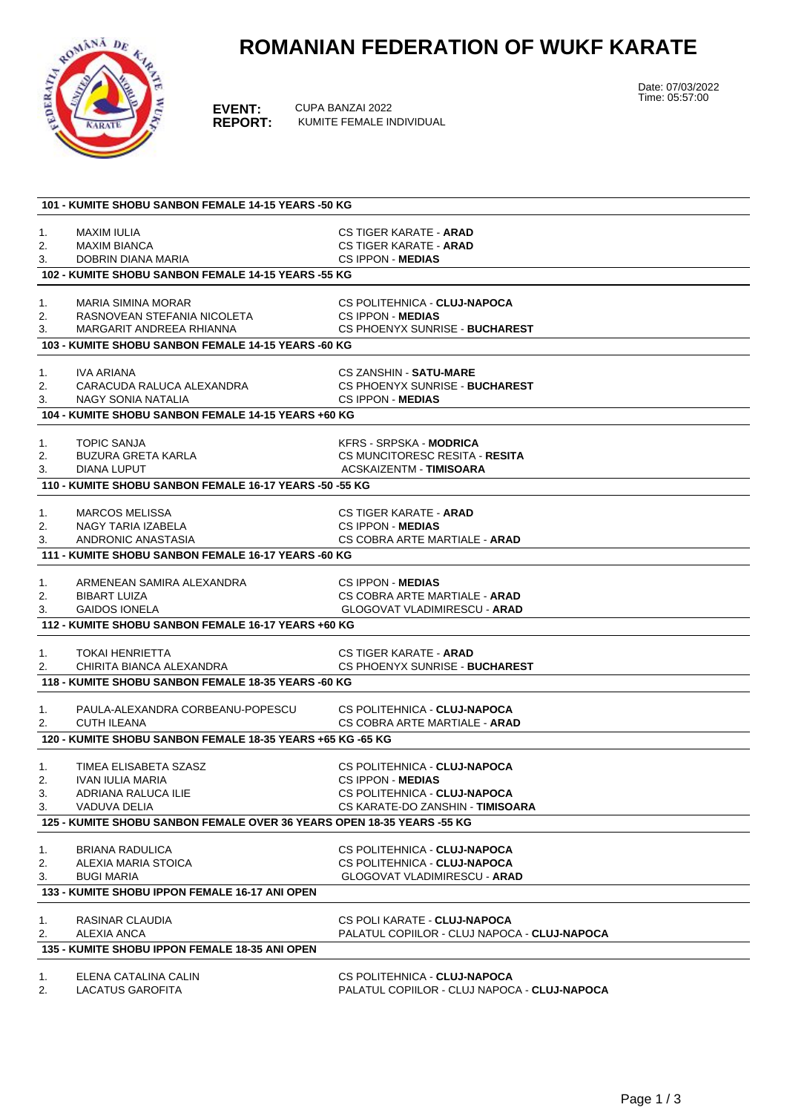## **ROMANIAN FEDERATION OF WUKF KARATE**



**EVENT:** CUPA BANZAI 2022<br>**REPORT:** KUMITE FEMALE IN **REPORT:** KUMITE FEMALE INDIVIDUAL Date: 07/03/2022 Time: 05:57:00

| 101 - KUMITE SHOBU SANBON FEMALE 14-15 YEARS -50 KG |                                                                        |                                                                              |  |  |
|-----------------------------------------------------|------------------------------------------------------------------------|------------------------------------------------------------------------------|--|--|
|                                                     |                                                                        |                                                                              |  |  |
| 1.                                                  | MAXIM IULIA                                                            | CS TIGER KARATE - <b>ARAD</b>                                                |  |  |
| 2.                                                  | <b>MAXIM BIANCA</b><br>DOBRIN DIANA MARIA                              | CS TIGER KARATE - ARAD<br><b>CS IPPON - MEDIAS</b>                           |  |  |
| 3.                                                  | 102 - KUMITE SHOBU SANBON FEMALE 14-15 YEARS -55 KG                    |                                                                              |  |  |
|                                                     |                                                                        |                                                                              |  |  |
| 1.                                                  | <b>MARIA SIMINA MORAR</b>                                              | CS POLITEHNICA - CLUJ-NAPOCA                                                 |  |  |
| 2.                                                  | RASNOVEAN STEFANIA NICOLETA                                            | <b>CS IPPON - MEDIAS</b>                                                     |  |  |
| 3.                                                  | MARGARIT ANDREEA RHIANNA                                               | CS PHOENYX SUNRISE - BUCHAREST                                               |  |  |
|                                                     | 103 - KUMITE SHOBU SANBON FEMALE 14-15 YEARS -60 KG                    |                                                                              |  |  |
|                                                     |                                                                        |                                                                              |  |  |
| 1.                                                  | IVA ARIANA                                                             | <b>CS ZANSHIN - SATU-MARE</b>                                                |  |  |
| 2.                                                  | CARACUDA RALUCA ALEXANDRA                                              | CS PHOENYX SUNRISE - BUCHAREST                                               |  |  |
| 3.                                                  | NAGY SONIA NATALIA                                                     | <b>CS IPPON - MEDIAS</b>                                                     |  |  |
|                                                     | 104 - KUMITE SHOBU SANBON FEMALE 14-15 YEARS +60 KG                    |                                                                              |  |  |
| 1.                                                  | <b>TOPIC SANJA</b>                                                     | <b>KFRS - SRPSKA - MODRICA</b>                                               |  |  |
| 2.                                                  | <b>BUZURA GRETA KARLA</b>                                              | CS MUNCITORESC RESITA - RESITA                                               |  |  |
| 3.                                                  | DIANA LUPUT                                                            | <b>ACSKAIZENTM - TIMISOARA</b>                                               |  |  |
|                                                     | 110 - KUMITE SHOBU SANBON FEMALE 16-17 YEARS -50 -55 KG                |                                                                              |  |  |
|                                                     |                                                                        |                                                                              |  |  |
| 1.                                                  | <b>MARCOS MELISSA</b>                                                  | CS TIGER KARATE - <b>ARAD</b>                                                |  |  |
| 2.<br>3.                                            | <b>NAGY TARIA IZABELA</b><br>ANDRONIC ANASTASIA                        | CS IPPON - MEDIAS<br>CS COBRA ARTE MARTIALE - ARAD                           |  |  |
|                                                     | 111 - KUMITE SHOBU SANBON FEMALE 16-17 YEARS -60 KG                    |                                                                              |  |  |
|                                                     |                                                                        |                                                                              |  |  |
| 1.                                                  | ARMENEAN SAMIRA ALEXANDRA                                              | <b>CS IPPON - MEDIAS</b>                                                     |  |  |
| 2.                                                  | <b>BIBART LUIZA</b>                                                    | CS COBRA ARTE MARTIALE - ARAD                                                |  |  |
| 3.                                                  | <b>GAIDOS IONELA</b>                                                   | <b>GLOGOVAT VLADIMIRESCU - ARAD</b>                                          |  |  |
|                                                     | 112 - KUMITE SHOBU SANBON FEMALE 16-17 YEARS +60 KG                    |                                                                              |  |  |
|                                                     |                                                                        |                                                                              |  |  |
| 1.                                                  | <b>TOKAI HENRIETTA</b>                                                 | <b>CS TIGER KARATE - ARAD</b>                                                |  |  |
| 2.                                                  | CHIRITA BIANCA ALEXANDRA                                               | CS PHOENYX SUNRISE - BUCHAREST                                               |  |  |
|                                                     | 118 - KUMITE SHOBU SANBON FEMALE 18-35 YEARS -60 KG                    |                                                                              |  |  |
| 1.                                                  | PAULA-ALEXANDRA CORBEANU-POPESCU                                       | CS POLITEHNICA - CLUJ-NAPOCA                                                 |  |  |
| 2.                                                  | <b>CUTH ILEANA</b>                                                     | CS COBRA ARTE MARTIALE - ARAD                                                |  |  |
|                                                     | 120 - KUMITE SHOBU SANBON FEMALE 18-35 YEARS +65 KG -65 KG             |                                                                              |  |  |
|                                                     |                                                                        |                                                                              |  |  |
| 1.                                                  | TIMEA ELISABETA SZASZ                                                  | CS POLITEHNICA - CLUJ-NAPOCA                                                 |  |  |
| 2.                                                  | IVAN IULIA MARIA                                                       | CS IPPON - MEDIAS                                                            |  |  |
| 3.                                                  | ADRIANA RALUCA ILIE                                                    | CS POLITEHNICA - CLUJ-NAPOCA                                                 |  |  |
| 3.                                                  | VADUVA DELIA                                                           | CS KARATE-DO ZANSHIN - TIMISOARA                                             |  |  |
|                                                     | 125 - KUMITE SHOBU SANBON FEMALE OVER 36 YEARS OPEN 18-35 YEARS -55 KG |                                                                              |  |  |
| 1.                                                  | <b>BRIANA RADULICA</b>                                                 | CS POLITEHNICA - CLUJ-NAPOCA                                                 |  |  |
| 2.                                                  | ALEXIA MARIA STOICA                                                    | CS POLITEHNICA - CLUJ-NAPOCA                                                 |  |  |
| 3.                                                  | <b>BUGI MARIA</b>                                                      | <b>GLOGOVAT VLADIMIRESCU - ARAD</b>                                          |  |  |
|                                                     | 133 - KUMITE SHOBU IPPON FEMALE 16-17 ANI OPEN                         |                                                                              |  |  |
| 1.                                                  | RASINAR CLAUDIA                                                        | CS POLI KARATE - CLUJ-NAPOCA                                                 |  |  |
| 2.                                                  | ALEXIA ANCA                                                            | PALATUL COPIILOR - CLUJ NAPOCA - CLUJ-NAPOCA                                 |  |  |
| 135 - KUMITE SHOBU IPPON FEMALE 18-35 ANI OPEN      |                                                                        |                                                                              |  |  |
|                                                     |                                                                        |                                                                              |  |  |
| 1.<br>2.                                            | ELENA CATALINA CALIN<br><b>LACATUS GAROFITA</b>                        | CS POLITEHNICA - CLUJ-NAPOCA<br>PALATUL COPIILOR - CLUJ NAPOCA - CLUJ-NAPOCA |  |  |
|                                                     |                                                                        |                                                                              |  |  |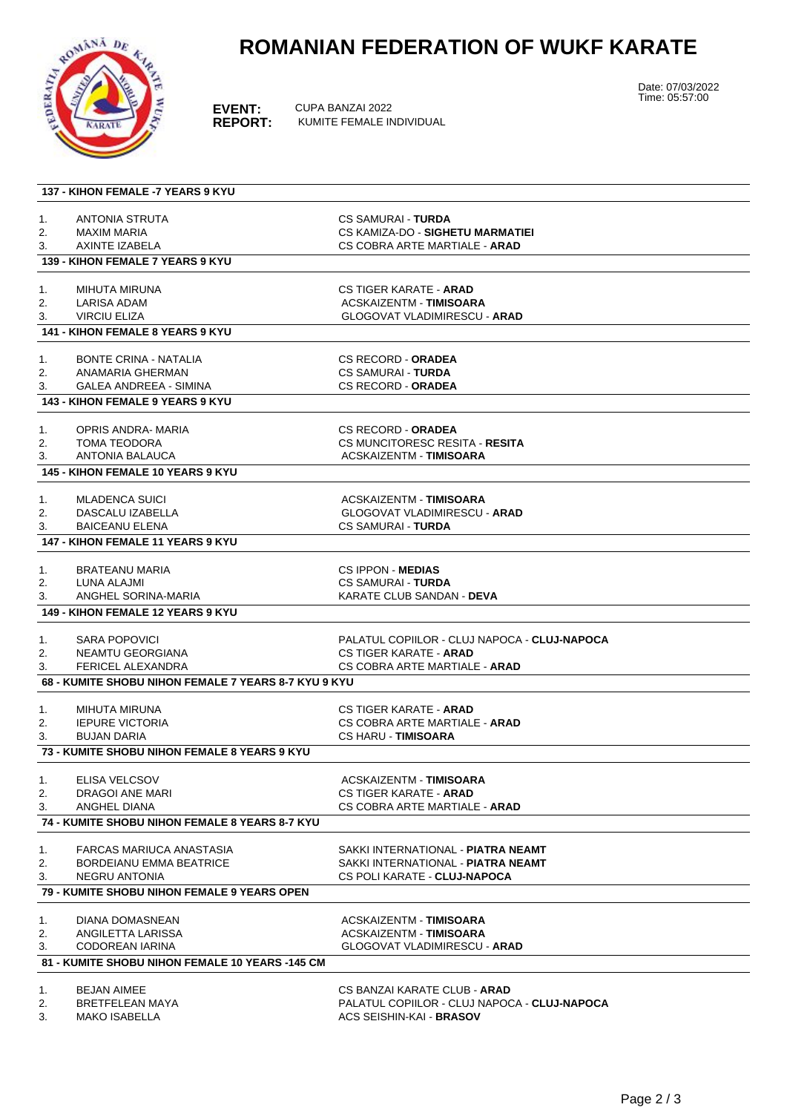

## **ROMANIAN FEDERATION OF WUKF KARATE**

**EVENT:** CUPA BANZAI 2022<br>**REPORT:** KUMITE FEMALE IN **REPORT:** KUMITE FEMALE INDIVIDUAL Date: 07/03/2022 Time: 05:57:00

|          | <b>137 - KIHON FEMALE -7 YEARS 9 KYU</b>             |                                                                          |
|----------|------------------------------------------------------|--------------------------------------------------------------------------|
| 1.       | <b>ANTONIA STRUTA</b>                                | <b>CS SAMURAI - TURDA</b>                                                |
| 2.       | MAXIM MARIA                                          | CS KAMIZA-DO - SIGHETU MARMATIEI                                         |
| 3.       | AXINTE IZABELA                                       | CS COBRA ARTE MARTIALE - <b>ARAD</b>                                     |
|          | 139 - KIHON FEMALE 7 YEARS 9 KYU                     |                                                                          |
|          |                                                      |                                                                          |
| 1.       | MIHUTA MIRUNA                                        | CS TIGER KARATE - <b>ARAD</b>                                            |
| 2.<br>3. | <b>LARISA ADAM</b><br>VIRCIU ELIZA                   | ACSKAIZENTM - TIMISOARA<br><b>GLOGOVAT VLADIMIRESCU - ARAD</b>           |
|          | <b>141 - KIHON FEMALE 8 YEARS 9 KYU</b>              |                                                                          |
|          |                                                      |                                                                          |
| 1.       | <b>BONTE CRINA - NATALIA</b>                         | <b>CS RECORD - ORADEA</b>                                                |
| 2.       | ANAMARIA GHERMAN                                     | <b>CS SAMURAI - TURDA</b>                                                |
| 3.       | <b>GALEA ANDREEA - SIMINA</b>                        | <b>CS RECORD - ORADEA</b>                                                |
|          | <b>143 - KIHON FEMALE 9 YEARS 9 KYU</b>              |                                                                          |
| 1.       | OPRIS ANDRA- MARIA                                   | <b>CS RECORD - ORADEA</b>                                                |
| 2.       | <b>TOMA TEODORA</b>                                  | CS MUNCITORESC RESITA - RESITA                                           |
| 3.       | <b>ANTONIA BALAUCA</b>                               | <b>ACSKAIZENTM - TIMISOARA</b>                                           |
|          | <b>145 - KIHON FEMALE 10 YEARS 9 KYU</b>             |                                                                          |
| 1.       | <b>MLADENCA SUICI</b>                                | ACSKAIZENTM TIMISOARA                                                    |
| 2.       | DASCALU IZABELLA                                     | <b>GLOGOVAT VLADIMIRESCU - ARAD</b>                                      |
| 3.       | <b>BAICEANU ELENA</b>                                | <b>CS SAMURAI - TURDA</b>                                                |
|          | <b>147 - KIHON FEMALE 11 YEARS 9 KYU</b>             |                                                                          |
|          | <b>BRATEANU MARIA</b>                                | <b>CS IPPON - MEDIAS</b>                                                 |
| 1.<br>2. | LUNA ALAJMI                                          | <b>CS SAMURAI - TURDA</b>                                                |
| 3.       | ANGHEL SORINA-MARIA                                  | KARATE CLUB SANDAN - DEVA                                                |
|          | <b>149 - KIHON FEMALE 12 YEARS 9 KYU</b>             |                                                                          |
|          |                                                      |                                                                          |
| 1.       | <b>SARA POPOVICI</b>                                 | PALATUL COPIILOR - CLUJ NAPOCA - CLUJ-NAPOCA                             |
| 2.       | NEAMTU GEORGIANA                                     | <b>CS TIGER KARATE - ARAD</b>                                            |
| 3.       | FERICEL ALEXANDRA                                    | CS COBRA ARTE MARTIALE - ARAD                                            |
|          | 68 - KUMITE SHOBU NIHON FEMALE 7 YEARS 8-7 KYU 9 KYU |                                                                          |
| 1.       | MIHUTA MIRUNA                                        | <b>CS TIGER KARATE - ARAD</b>                                            |
| 2.       | <b>IEPURE VICTORIA</b>                               | CS COBRA ARTE MARTIALE - <b>ARAD</b>                                     |
| 3.       | <b>BUJAN DARIA</b>                                   | <b>CS HARU - TIMISOARA</b>                                               |
|          | 73 - KUMITE SHOBU NIHON FEMALE 8 YEARS 9 KYU         |                                                                          |
| 1.       | ELISA VELCSOV                                        | <b>ACSKAIZENTM - TIMISOARA</b>                                           |
| 2.       | DRAGOI ANE MARI                                      | CS TIGER KARATE - ARAD                                                   |
| 3.       | <b>ANGHEL DIANA</b>                                  | CS COBRA ARTE MARTIALE - <b>ARAD</b>                                     |
|          | 74 - KUMITE SHOBU NIHON FEMALE 8 YEARS 8-7 KYU       |                                                                          |
| 1.       | FARCAS MARIUCA ANASTASIA                             | SAKKI INTERNATIONAL - <b>PIATRA NEAMT</b>                                |
| 2.       | <b>BORDEIANU EMMA BEATRICE</b>                       | SAKKI INTERNATIONAL - <b>PIATRA NEAMT</b>                                |
| 3.       | <b>NEGRU ANTONIA</b>                                 | CS POLI KARATE - CLUJ-NAPOCA                                             |
|          | <b>79 - KUMITE SHOBU NIHON FEMALE 9 YEARS OPEN</b>   |                                                                          |
|          |                                                      |                                                                          |
| 1.       | DIANA DOMASNEAN                                      | ACSKAIZENTM - TIMISOARA                                                  |
| 2.<br>3. | ANGILETTA LARISSA<br>CODOREAN IARINA                 | <b>ACSKAIZENTM - TIMISOARA</b><br><b>GLOGOVAT VLADIMIRESCU - ARAD</b>    |
|          | 81 - KUMITE SHOBU NIHON FEMALE 10 YEARS -145 CM      |                                                                          |
|          |                                                      |                                                                          |
| 1.       | <b>BEJAN AIMEE</b>                                   | CS BANZAI KARATE CLUB - <b>ARAD</b>                                      |
| 2.<br>3. | BRETFELEAN MAYA<br><b>MAKO ISABELLA</b>              | PALATUL COPIILOR - CLUJ NAPOCA - CLUJ-NAPOCA<br>ACS SEISHIN-KAI - BRASOV |
|          |                                                      |                                                                          |